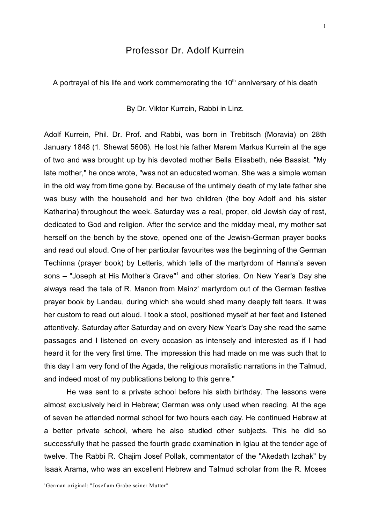## Professor Dr. Adolf Kurrein

A portrayal of his life and work commemorating the  $10<sup>th</sup>$  anniversary of his death

By Dr. Viktor Kurrein, Rabbi in Linz.

Adolf Kurrein, Phil. Dr. Prof. and Rabbi, was born in Trebitsch (Moravia) on 28th January 1848 (1. Shewat 5606). He lost his father Marem Markus Kurrein at the age of two and was brought up by his devoted mother Bella Elisabeth, née Bassist. "My late mother," he once wrote, "was not an educated woman. She was a simple woman in the old way from time gone by. Because of the untimely death of my late father she was busy with the household and her two children (the boy Adolf and his sister Katharina) throughout the week. Saturday was a real, proper, old Jewish day of rest, dedicated to God and religion. After the service and the midday meal, my mother sat herself on the bench by the stove, opened one of the Jewish-German prayer books and read out aloud. One of her particular favourites was the beginning of the German Techinna (prayer book) by Letteris, which tells of the martyrdom of Hanna's seven sons – "Joseph at His Mother's Grave"<sup>1</sup> and other stories. On New Year's Day she always read the tale of R. Manon from Mainz' martyrdom out of the German festive prayer book by Landau, during which she would shed many deeply felt tears. It was her custom to read out aloud. I took a stool, positioned myself at her feet and listened attentively. Saturday after Saturday and on every New Year's Day she read the same passages and I listened on every occasion as intensely and interested as if I had heard it for the very first time. The impression this had made on me was such that to this day I am very fond of the Agada, the religious moralistic narrations in the Talmud, and indeed most of my publications belong to this genre."

He was sent to a private school before his sixth birthday. The lessons were almost exclusively held in Hebrew; German was only used when reading. At the age of seven he attended normal school for two hours each day. He continued Hebrew at a better private school, where he also studied other subjects. This he did so successfully that he passed the fourth grade examination in Iglau at the tender age of twelve. The Rabbi R. Chajim Josef Pollak, commentator of the "Akedath Izchak" by Isaak Arama, who was an excellent Hebrew and Talmud scholar from the R. Moses

<sup>&</sup>lt;sup>1</sup>German original: "Josef am Grabe seiner Mutter"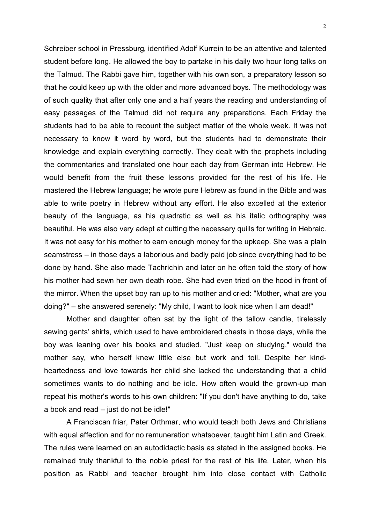Schreiber school in Pressburg, identified Adolf Kurrein to be an attentive and talented student before long. He allowed the boy to partake in his daily two hour long talks on the Talmud. The Rabbi gave him, together with his own son, a preparatory lesson so that he could keep up with the older and more advanced boys. The methodology was of such quality that after only one and a half years the reading and understanding of easy passages of the Talmud did not require any preparations. Each Friday the students had to be able to recount the subject matter of the whole week. It was not necessary to know it word by word, but the students had to demonstrate their knowledge and explain everything correctly. They dealt with the prophets including the commentaries and translated one hour each day from German into Hebrew. He would benefit from the fruit these lessons provided for the rest of his life. He mastered the Hebrew language; he wrote pure Hebrew as found in the Bible and was able to write poetry in Hebrew without any effort. He also excelled at the exterior beauty of the language, as his quadratic as well as his italic orthography was beautiful. He was also very adept at cutting the necessary quills for writing in Hebraic. It was not easy for his mother to earn enough money for the upkeep. She was a plain seamstress – in those days a laborious and badly paid job since everything had to be done by hand. She also made Tachrichin and later on he often told the story of how his mother had sewn her own death robe. She had even tried on the hood in front of the mirror. When the upset boy ran up to his mother and cried: "Mother, what are you doing?" – she answered serenely: "My child, I want to look nice when I am dead!"

Mother and daughter often sat by the light of the tallow candle, tirelessly sewing gents' shirts, which used to have embroidered chests in those days, while the boy was leaning over his books and studied. "Just keep on studying," would the mother say, who herself knew little else but work and toil. Despite her kindheartedness and love towards her child she lacked the understanding that a child sometimes wants to do nothing and be idle. How often would the grown-up man repeat his mother's words to his own children: "If you don't have anything to do, take a book and read – just do not be idle!"

A Franciscan friar, Pater Orthmar, who would teach both Jews and Christians with equal affection and for no remuneration whatsoever, taught him Latin and Greek. The rules were learned on an autodidactic basis as stated in the assigned books. He remained truly thankful to the noble priest for the rest of his life. Later, when his position as Rabbi and teacher brought him into close contact with Catholic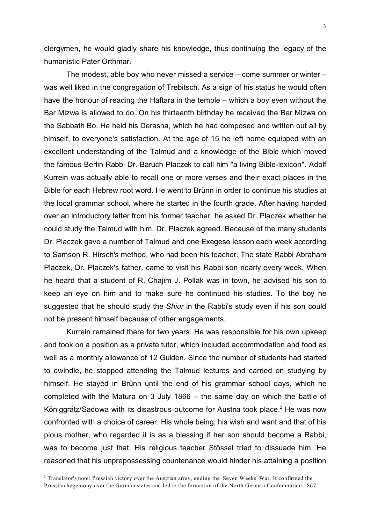clergymen, he would gladly share his knowledge, thus continuing the legacy of the humanistic Pater Orthmar.

The modest, able boy who never missed a service – come summer or winter – was well liked in the congregation of Trebitsch. As a sign of his status he would often have the honour of reading the Haftara in the temple – which a boy even without the Bar Mizwa is allowed to do. On his thirteenth birthday he received the Bar Mizwa on the Sabbath Bo. He held his Derasha, which he had composed and written out all by himself, to everyone's satisfaction. At the age of 15 he left home equipped with an excellent understanding of the Talmud and a knowledge of the Bible which moved the famous Berlin Rabbi Dr. Baruch Placzek to call him "a living Bible-lexicon". Adolf Kurrein was actually able to recall one or more verses and their exact places in the Bible for each Hebrew root word. He went to Brünn in order to continue his studies at the local grammar school, where he started in the fourth grade. After having handed over an introductory letter from his former teacher, he asked Dr. Placzek whether he could study the Talmud with him. Dr. Placzek agreed. Because of the many students Dr. Placzek gave a number of Talmud and one Exegese lesson each week according to Samson R. Hirsch's method, who had been his teacher. The state Rabbi Abraham Placzek, Dr. Placzek's father, came to visit his Rabbi son nearly every week. When he heard that a student of R. Chajim J. Pollak was in town, he advised his son to keep an eye on him and to make sure he continued his studies. To the boy he suggested that he should study the *Shiur* in the Rabbi's study even if his son could not be present himself because of other engagements.

Kurrein remained there for two years. He was responsible for his own upkeep and took on a position as a private tutor, which included accommodation and food as well as a monthly allowance of 12 Gulden. Since the number of students had started to dwindle, he stopped attending the Talmud lectures and carried on studying by himself. He stayed in Brünn until the end of his grammar school days, which he completed with the Matura on 3 July 1866 – the same day on which the battle of Königgrätz/Sadowa with its disastrous outcome for Austria took place.<sup>2</sup> He was now confronted with a choice of career. His whole being, his wish and want and that of his pious mother, who regarded it is as a blessing if her son should become a Rabbi, was to become just that. His religious teacher Stössel tried to dissuade him. He reasoned that his unprepossessing countenance would hinder his attaining a position

<sup>2</sup> Translator's note: Prussian victory over the Austrian army, ending the Seven Weeks' War. It confirmed the Prussian hegemony over the German states and led to the formation of the North German Confederation 1867.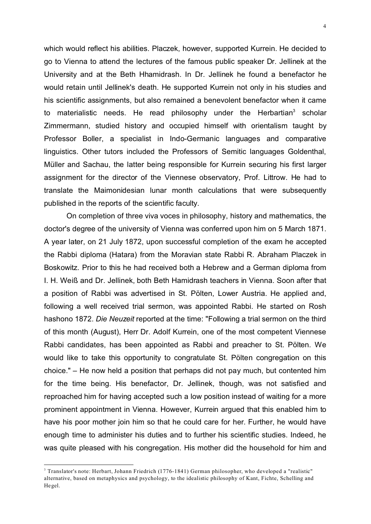which would reflect his abilities. Placzek, however, supported Kurrein. He decided to go to Vienna to attend the lectures of the famous public speaker Dr. Jellinek at the University and at the Beth Hhamidrash. In Dr. Jellinek he found a benefactor he would retain until Jellinek's death. He supported Kurrein not only in his studies and his scientific assignments, but also remained a benevolent benefactor when it came to materialistic needs. He read philosophy under the Herbartian<sup>3</sup> scholar Zimmermann, studied history and occupied himself with orientalism taught by Professor Boller, a specialist in Indo-Germanic languages and comparative linguistics. Other tutors included the Professors of Semitic languages Goldenthal, Müller and Sachau, the latter being responsible for Kurrein securing his first larger assignment for the director of the Viennese observatory, Prof. Littrow. He had to translate the Maimonidesian lunar month calculations that were subsequently published in the reports of the scientific faculty.

On completion of three viva voces in philosophy, history and mathematics, the doctor's degree of the university of Vienna was conferred upon him on 5 March 1871. A year later, on 21 July 1872, upon successful completion of the exam he accepted the Rabbi diploma (Hatara) from the Moravian state Rabbi R. Abraham Placzek in Boskowitz. Prior to this he had received both a Hebrew and a German diploma from I. H. Weiß and Dr. Jellinek, both Beth Hamidrash teachers in Vienna. Soon after that a position of Rabbi was advertised in St. Pölten, Lower Austria. He applied and, following a well received trial sermon, was appointed Rabbi. He started on Rosh hashono 1872. *Die Neuzeit* reported at the time: "Following a trial sermon on the third of this month (August), Herr Dr. Adolf Kurrein, one of the most competent Viennese Rabbi candidates, has been appointed as Rabbi and preacher to St. Pölten. We would like to take this opportunity to congratulate St. Pölten congregation on this choice." – He now held a position that perhaps did not pay much, but contented him for the time being. His benefactor, Dr. Jellinek, though, was not satisfied and reproached him for having accepted such a low position instead of waiting for a more prominent appointment in Vienna. However, Kurrein argued that this enabled him to have his poor mother join him so that he could care for her. Further, he would have enough time to administer his duties and to further his scientific studies. Indeed, he was quite pleased with his congregation. His mother did the household for him and

<sup>3</sup> Translator's note: Herbart, Johann Friedrich (1776-1841) German philosopher, who developed a "realistic" alternative, based on metaphysics and psychology, to the idealistic philosophy of Kant, Fichte, Schelling and Hegel.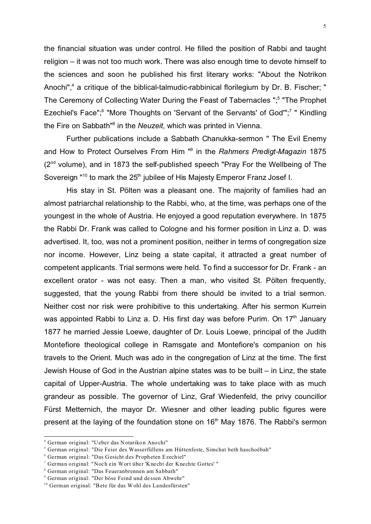the financial situation was under control. He filled the position of Rabbi and taught religion – it was not too much work. There was also enough time to devote himself to the sciences and soon he published his first literary works: "About the Notrikon Anochi",<sup>4</sup> a critique of the biblical-talmudic-rabbinical florilegium by Dr. B. Fischer; " The Ceremony of Collecting Water During the Feast of Tabernacles ";<sup>5</sup> "The Prophet Ezechiel's Face";<sup>6</sup> "More Thoughts on 'Servant of the Servants' of God"";<sup>7</sup> " Kindling the Fire on Sabbath"<sup>8</sup> in the *Neuzeit*, which was printed in Vienna.

Further publications include a Sabbath Chanukka-sermon " The Evil Enemy and How to Protect Ourselves From Him "<sup>9</sup> in the *Rahmers Predigt-Magazin* 1875  $(2<sup>nd</sup>$  volume), and in 1873 the self-published speech "Pray For the Wellbeing of The Sovereign "<sup>10</sup> to mark the 25<sup>th</sup> jubilee of His Majesty Emperor Franz Josef I.

His stay in St. Pölten was a pleasant one. The majority of families had an almost patriarchal relationship to the Rabbi, who, at the time, was perhaps one of the youngest in the whole of Austria. He enjoyed a good reputation everywhere. In 1875 the Rabbi Dr. Frank was called to Cologne and his former position in Linz a. D. was advertised. It, too, was not a prominent position, neither in terms of congregation size nor income. However, Linz being a state capital, it attracted a great number of competent applicants. Trial sermons were held. To find a successor for Dr. Frank - an excellent orator - was not easy. Then a man, who visited St. Pölten frequently, suggested, that the young Rabbi from there should be invited to a trial sermon. Neither cost nor risk were prohibitive to this undertaking. After his sermon Kurrein was appointed Rabbi to Linz a. D. His first day was before Purim. On  $17<sup>th</sup>$  January 1877 he married Jessie Loewe, daughter of Dr. Louis Loewe, principal of the Judith Montefiore theological college in Ramsgate and Montefiore's companion on his travels to the Orient. Much was ado in the congregation of Linz at the time. The first Jewish House of God in the Austrian alpine states was to be built – in Linz, the state capital of Upper-Austria. The whole undertaking was to take place with as much grandeur as possible. The governor of Linz, Graf Wiedenfeld, the privy councillor Fürst Metternich, the mayor Dr. Wiesner and other leading public figures were present at the laying of the foundation stone on 16<sup>th</sup> May 1876. The Rabbi's sermon

<sup>4</sup> German original: "Ueber das Notarikon Anochi"

<sup>5</sup> German original: "Die Feier des Wasserfüllens am Hüttenfeste, Simchat beth haschoëbah"

<sup>6</sup> German original: "Das Gesicht des Propheten Ezechiel"

<sup>7</sup> German original: "Noch ein Wort über 'Knecht der Knechte Gottes' "

<sup>8</sup> German original: "Das Feueranbrennen am Sabbath"

<sup>9</sup> German original: "Der böse Feind und dessen Abwehr"

<sup>&</sup>lt;sup>10</sup> German original: "Bete für das Wohl des Landesfürsten"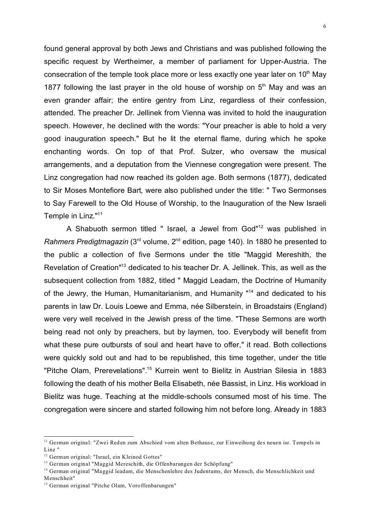found general approval by both Jews and Christians and was published following the specific request by Wertheimer, a member of parliament for Upper-Austria. The consecration of the temple took place more or less exactly one year later on  $10<sup>th</sup>$  May 1877 following the last prayer in the old house of worship on  $5<sup>th</sup>$  May and was an even grander affair; the entire gentry from Linz, regardless of their confession, attended. The preacher Dr. Jellinek from Vienna was invited to hold the inauguration speech. However, he declined with the words: "Your preacher is able to hold a very good inauguration speech." But he lit the eternal flame, during which he spoke enchanting words. On top of that Prof. Sulzer, who oversaw the musical arrangements, and a deputation from the Viennese congregation were present. The Linz congregation had now reached its golden age. Both sermons (1877), dedicated to Sir Moses Montefiore Bart, were also published under the title: " Two Sermonses to Say Farewell to the Old House of Worship, to the Inauguration of the New Israeli Temple in Linz."<sup>11</sup>

A Shabuoth sermon titled " Israel, a Jewel from God"<sup>12</sup> was published in *Rahmers Predigtmagazin* (3rd volume, 2nd edition, page 140). In 1880 he presented to the public a collection of five Sermons under the title "Maggid Mereshith, the Revelation of Creation<sup>"13</sup> dedicated to his teacher Dr. A. Jellinek. This, as well as the subsequent collection from 1882, titled " Maggid Leadam, the Doctrine of Humanity of the Jewry, the Human, Humanitarianism, and Humanity "<sup>14</sup> and dedicated to his parents in law Dr. Louis Loewe and Emma, née Silberstein, in Broadstairs (England) were very well received in the Jewish press of the time. "These Sermons are worth being read not only by preachers, but by laymen, too. Everybody will benefit from what these pure outbursts of soul and heart have to offer," it read. Both collections were quickly sold out and had to be republished, this time together, under the title "Pitche Olam, Prerevelations".<sup>15</sup> Kurrein went to Bielitz in Austrian Silesia in 1883 following the death of his mother Bella Elisabeth, née Bassist, in Linz. His workload in Bielitz was huge. Teaching at the middle-schools consumed most of his time. The congregation were sincere and started following him not before long. Already in 1883

 $11$  German original: "Zwei Reden zum Abschied vom alten Bethause, zur Einweihung des neuen isr. Tempels in Linz "

<sup>&</sup>lt;sup>12</sup> German original: "Israel, ein Kleinod Gottes"

<sup>&</sup>lt;sup>13</sup> German original "Maggid Mereschith, die Offenbarungen der Schöpfung"

<sup>&</sup>lt;sup>14</sup> German original "Maggid leadam, die Menschenlehre des Judentums, der Mensch, die Menschlichkeit und Menschheit"

<sup>&</sup>lt;sup>15</sup> German original "Pitche Olam, Voroffenbarungen"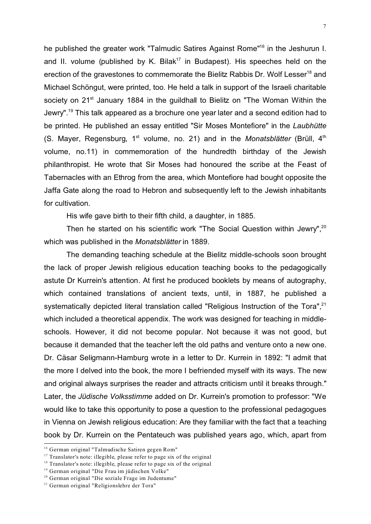he published the greater work "Talmudic Satires Against Rome"<sup>16</sup> in the Jeshurun I. and II. volume (published by K. Bilak<sup>17</sup> in Budapest). His speeches held on the erection of the gravestones to commemorate the Bielitz Rabbis Dr. Wolf Lesser<sup>18</sup> and Michael Schöngut, were printed, too. He held a talk in support of the Israeli charitable society on 21<sup>st</sup> January 1884 in the guildhall to Bielitz on "The Woman Within the Jewry".<sup>19</sup> This talk appeared as a brochure one year later and a second edition had to be printed. He published an essay entitled "Sir Moses Montefiore" in the *Laubhütte* (S. Mayer, Regensburg, 1<sup>st</sup> volume, no. 21) and in the *Monatsblätter* (Brüll, 4<sup>th</sup> volume, no.11) in commemoration of the hundredth birthday of the Jewish philanthropist. He wrote that Sir Moses had honoured the scribe at the Feast of Tabernacles with an Ethrog from the area, which Montefiore had bought opposite the Jaffa Gate along the road to Hebron and subsequently left to the Jewish inhabitants for cultivation.

His wife gave birth to their fifth child, a daughter, in 1885.

Then he started on his scientific work "The Social Question within Jewry", $20$ which was published in the *Monatsblätter* in 1889.

The demanding teaching schedule at the Bielitz middle-schools soon brought the lack of proper Jewish religious education teaching books to the pedagogically astute Dr Kurrein's attention. At first he produced booklets by means of autography, which contained translations of ancient texts, until, in 1887, he published a systematically depicted literal translation called "Religious Instruction of the Tora",<sup>21</sup> which included a theoretical appendix. The work was designed for teaching in middleschools. However, it did not become popular. Not because it was not good, but because it demanded that the teacher left the old paths and venture onto a new one. Dr. Cäsar Seligmann-Hamburg wrote in a letter to Dr. Kurrein in 1892: "I admit that the more I delved into the book, the more I befriended myself with its ways. The new and original always surprises the reader and attracts criticism until it breaks through." Later, the *Jüdische Volksstimme* added on Dr. Kurrein's promotion to professor: "We would like to take this opportunity to pose a question to the professional pedagogues in Vienna on Jewish religious education: Are they familiar with the fact that a teaching book by Dr. Kurrein on the Pentateuch was published years ago, which, apart from

<sup>16</sup> German original "Talmudische Satiren gegen Rom"

<sup>&</sup>lt;sup>17</sup> Translator's note: illegible, please refer to page six of the original

<sup>&</sup>lt;sup>18</sup> Translator's note: illegible, please refer to page six of the original

<sup>19</sup> German original "Die Frau im jüdischen Volke"

<sup>&</sup>lt;sup>20</sup> German original "Die soziale Frage im Judentume"

<sup>21</sup> German original "Religionslehre der Tora"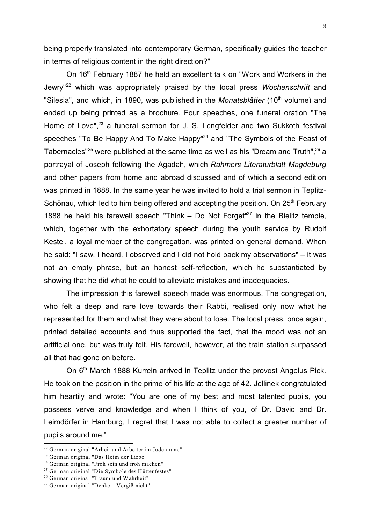being properly translated into contemporary German, specifically guides the teacher in terms of religious content in the right direction?"

On 16<sup>th</sup> February 1887 he held an excellent talk on "Work and Workers in the Jewry"<sup>22</sup> which was appropriately praised by the local press *Wochenschrift* and "Silesia", and which, in 1890, was published in the *Monatsblätter* (10<sup>th</sup> volume) and ended up being printed as a brochure. Four speeches, one funeral oration "The Home of Love", $23$  a funeral sermon for J. S. Lengfelder and two Sukkoth festival speeches "To Be Happy And To Make Happy"<sup>24</sup> and "The Symbols of the Feast of Tabernacles"<sup>25</sup> were published at the same time as well as his "Dream and Truth",<sup>26</sup> a portrayal of Joseph following the Agadah, which *Rahmers Literaturblatt Magdeburg* and other papers from home and abroad discussed and of which a second edition was printed in 1888. In the same year he was invited to hold a trial sermon in Teplitz-Schönau, which led to him being offered and accepting the position. On  $25<sup>th</sup>$  February 1888 he held his farewell speech "Think  $-$  Do Not Forget"<sup>27</sup> in the Bielitz temple, which, together with the exhortatory speech during the youth service by Rudolf Kestel, a loyal member of the congregation, was printed on general demand. When he said: "I saw, I heard, I observed and I did not hold back my observations" – it was not an empty phrase, but an honest self-reflection, which he substantiated by showing that he did what he could to alleviate mistakes and inadequacies.

The impression this farewell speech made was enormous. The congregation, who felt a deep and rare love towards their Rabbi, realised only now what he represented for them and what they were about to lose. The local press, once again, printed detailed accounts and thus supported the fact, that the mood was not an artificial one, but was truly felt. His farewell, however, at the train station surpassed all that had gone on before.

On 6<sup>th</sup> March 1888 Kurrein arrived in Teplitz under the provost Angelus Pick. He took on the position in the prime of his life at the age of 42. Jellinek congratulated him heartily and wrote: "You are one of my best and most talented pupils, you possess verve and knowledge and when I think of you, of Dr. David and Dr. Leimdörfer in Hamburg, I regret that I was not able to collect a greater number of pupils around me."

<sup>22</sup> German original "Arbeit und Arbeiter im Judentume"

<sup>23</sup> German original "Das Heim der Liebe"

<sup>24</sup> German original "Froh sein und froh machen"

<sup>25</sup> German original "Die Symbole des Hüttenfestes"

<sup>26</sup> German original "Traum und Wahrheit"

 $27$  German original "Denke – Vergiß nicht"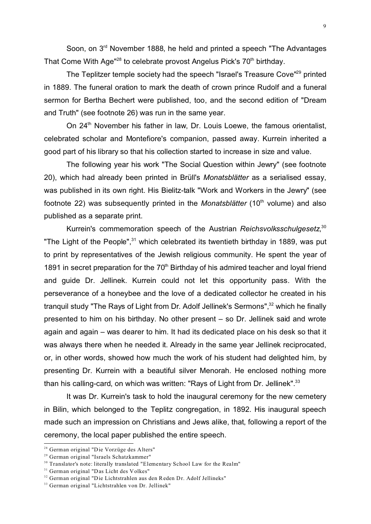Soon, on 3<sup>rd</sup> November 1888, he held and printed a speech "The Advantages" That Come With Age<sup>"28</sup> to celebrate provost Angelus Pick's 70<sup>th</sup> birthday.

The Teplitzer temple society had the speech "Israel's Treasure Cove"<sup>29</sup> printed in 1889. The funeral oration to mark the death of crown prince Rudolf and a funeral sermon for Bertha Bechert were published, too, and the second edition of "Dream and Truth" (see footnote 26) was run in the same year.

On 24<sup>th</sup> November his father in law, Dr. Louis Loewe, the famous orientalist, celebrated scholar and Montefiore's companion, passed away. Kurrein inherited a good part of his library so that his collection started to increase in size and value.

The following year his work "The Social Question within Jewry" (see footnote 20), which had already been printed in Brüll's *Monatsblätter* as a serialised essay, was published in its own right. His Bielitz-talk "Work and Workers in the Jewry" (see footnote 22) was subsequently printed in the *Monatsblätter* (10<sup>th</sup> volume) and also published as a separate print.

Kurrein's commemoration speech of the Austrian *Reichsvolksschulgesetz*, 30 "The Light of the People", $31$  which celebrated its twentieth birthday in 1889, was put to print by representatives of the Jewish religious community. He spent the year of 1891 in secret preparation for the  $70<sup>th</sup>$  Birthday of his admired teacher and loyal friend and guide Dr. Jellinek. Kurrein could not let this opportunity pass. With the perseverance of a honeybee and the love of a dedicated collector he created in his tranquil study "The Rays of Light from Dr. Adolf Jellinek's Sermons",<sup>32</sup> which he finally presented to him on his birthday. No other present – so Dr. Jellinek said and wrote again and again – was dearer to him. It had its dedicated place on his desk so that it was always there when he needed it. Already in the same year Jellinek reciprocated, or, in other words, showed how much the work of his student had delighted him, by presenting Dr. Kurrein with a beautiful silver Menorah. He enclosed nothing more than his calling-card, on which was written: "Rays of Light from Dr. Jellinek".<sup>33</sup>

It was Dr. Kurrein's task to hold the inaugural ceremony for the new cemetery in Bilin, which belonged to the Teplitz congregation, in 1892. His inaugural speech made such an impression on Christians and Jews alike, that, following a report of the ceremony, the local paper published the entire speech.

<sup>&</sup>lt;sup>28</sup> German original "Die Vorzüge des Alters"

<sup>29</sup> German original "Israels Schatzkammer"

<sup>&</sup>lt;sup>30</sup> Translator's note: literally translated "Elementary School Law for the Realm"

<sup>&</sup>lt;sup>31</sup> German original "Das Licht des Volkes"

<sup>&</sup>lt;sup>32</sup> German original "Die Lichtstrahlen aus den Reden Dr. Adolf Jellineks"

<sup>33</sup> German original "Lichtstrahlen von Dr. Jellinek"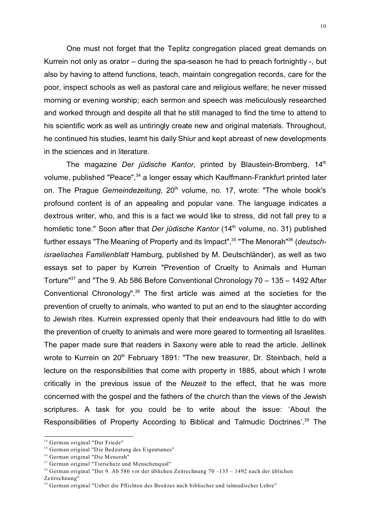One must not forget that the Teplitz congregation placed great demands on Kurrein not only as orator – during the spa-season he had to preach fortnightly -, but also by having to attend functions, teach, maintain congregation records, care for the poor, inspect schools as well as pastoral care and religious welfare; he never missed morning or evening worship; each sermon and speech was meticulously researched and worked through and despite all that he still managed to find the time to attend to his scientific work as well as untiringly create new and original materials. Throughout, he continued his studies, learnt his daily Shiur and kept abreast of new developments in the sciences and in literature.

The magazine *Der jüdische Kantor*, printed by Blaustein-Bromberg, 14<sup>th</sup> volume, published "Peace",<sup>34</sup> a longer essay which Kauffmann-Frankfurt printed later on. The Prague *Gemeindezeitung*, 20<sup>th</sup> volume, no. 17, wrote: "The whole book's profound content is of an appealing and popular vane. The language indicates a dextrous writer, who, and this is a fact we would like to stress, did not fall prey to a homiletic tone." Soon after that *Der jüdische Kantor* (14<sup>th</sup> volume, no. 31) published further essays "The Meaning of Property and its Impact",<sup>35</sup> "The Menorah"<sup>36</sup> (*deutschisraelisches Familienblatt* Hamburg, published by M. Deutschländer), as well as two essays set to paper by Kurrein "Prevention of Cruelty to Animals and Human Torture" $37$  and "The 9. Ab 586 Before Conventional Chronology  $70 - 135 - 1492$  After Conventional Chronology".<sup>38</sup> The first article was aimed at the societies for the prevention of cruelty to animals, who wanted to put an end to the slaughter according to Jewish rites. Kurrein expressed openly that their endeavours had little to do with the prevention of cruelty to animals and were more geared to tormenting all Israelites. The paper made sure that readers in Saxony were able to read the article. Jellinek wrote to Kurrein on 20<sup>th</sup> February 1891: "The new treasurer, Dr. Steinbach, held a lecture on the responsibilities that come with property in 1885, about which I wrote critically in the previous issue of the *Neuzeit* to the effect, that he was more concerned with the gospel and the fathers of the church than the views of the Jewish scriptures. A task for you could be to write about the issue: 'About the Responsibilities of Property According to Biblical and Talmudic Doctrines'.<sup>39</sup> The

<sup>34</sup> German original "Der Friede"

<sup>&</sup>lt;sup>35</sup> German original "Die Bedeutung des Eigentumes"

<sup>36</sup> German original "Die Menorah"

<sup>37</sup> German original "Tierschutz und Menschenqual"

<sup>38</sup> German original "Der 9. Ab 586 vor der üblichen Zeitrechnung 70 –135 – 1492 nach der üblichen

Zeitrechnung"

<sup>39</sup> German original "Ueber die Pflichten des Besitzes nach biblischer und talmudischer Lehre"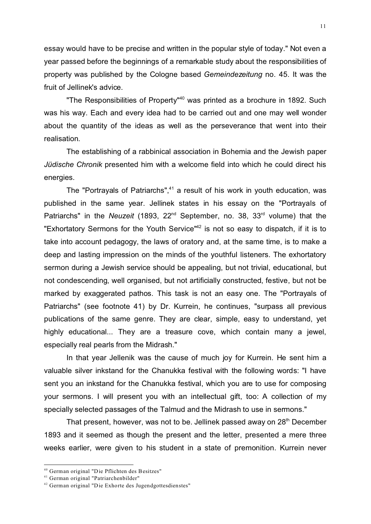essay would have to be precise and written in the popular style of today." Not even a year passed before the beginnings of a remarkable study about the responsibilities of property was published by the Cologne based *Gemeindezeitung* no. 45. It was the fruit of Jellinek's advice.

"The Responsibilities of Property"<sup>40</sup> was printed as a brochure in 1892. Such was his way. Each and every idea had to be carried out and one may well wonder about the quantity of the ideas as well as the perseverance that went into their realisation.

The establishing of a rabbinical association in Bohemia and the Jewish paper *Jüdische Chronik* presented him with a welcome field into which he could direct his energies.

The "Portrayals of Patriarchs", $41$  a result of his work in youth education, was published in the same year. Jellinek states in his essay on the "Portrayals of Patriarchs" in the *Neuzeit* (1893, 22<sup>nd</sup> September, no. 38, 33<sup>rd</sup> volume) that the "Exhortatory Sermons for the Youth Service"<sup>42</sup> is not so easy to dispatch, if it is to take into account pedagogy, the laws of oratory and, at the same time, is to make a deep and lasting impression on the minds of the youthful listeners. The exhortatory sermon during a Jewish service should be appealing, but not trivial, educational, but not condescending, well organised, but not artificially constructed, festive, but not be marked by exaggerated pathos. This task is not an easy one. The "Portrayals of Patriarchs" (see footnote 41) by Dr. Kurrein, he continues, "surpass all previous publications of the same genre. They are clear, simple, easy to understand, yet highly educational... They are a treasure cove, which contain many a jewel, especially real pearls from the Midrash."

In that year Jellenik was the cause of much joy for Kurrein. He sent him a valuable silver inkstand for the Chanukka festival with the following words: "I have sent you an inkstand for the Chanukka festival, which you are to use for composing your sermons. I will present you with an intellectual gift, too: A collection of my specially selected passages of the Talmud and the Midrash to use in sermons."

That present, however, was not to be. Jellinek passed away on 28<sup>th</sup> December 1893 and it seemed as though the present and the letter, presented a mere three weeks earlier, were given to his student in a state of premonition. Kurrein never

<sup>40</sup> German original "Die Pflichten des Besitzes"

<sup>41</sup> German original "Patriarchenbilder"

<sup>42</sup> German original "Die Exhorte des Jugendgottesdienstes"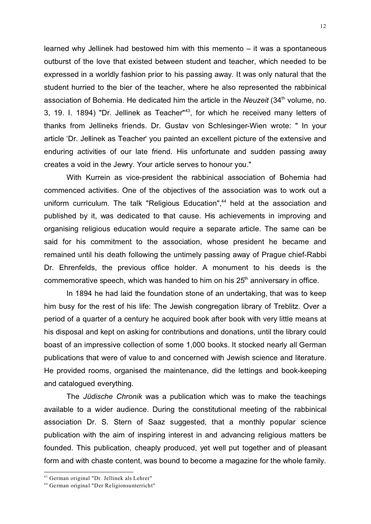learned why Jellinek had bestowed him with this memento – it was a spontaneous outburst of the love that existed between student and teacher, which needed to be expressed in a worldly fashion prior to his passing away. It was only natural that the student hurried to the bier of the teacher, where he also represented the rabbinical association of Bohemia. He dedicated him the article in the *Neuzeit* (34<sup>th</sup> volume, no. 3, 19. I. 1894) "Dr. Jellinek as Teacher"<sup>43</sup>, for which he received many letters of thanks from Jellineks friends. Dr. Gustav von Schlesinger-Wien wrote: " In your article 'Dr. Jellinek as Teacher' you painted an excellent picture of the extensive and enduring activities of our late friend. His unfortunate and sudden passing away creates a void in the Jewry. Your article serves to honour you."

With Kurrein as vice-president the rabbinical association of Bohemia had commenced activities. One of the objectives of the association was to work out a uniform curriculum. The talk "Religious Education",<sup>44</sup> held at the association and published by it, was dedicated to that cause. His achievements in improving and organising religious education would require a separate article. The same can be said for his commitment to the association, whose president he became and remained until his death following the untimely passing away of Prague chief-Rabbi Dr. Ehrenfelds, the previous office holder. A monument to his deeds is the commemorative speech, which was handed to him on his  $25<sup>th</sup>$  anniversary in office.

In 1894 he had laid the foundation stone of an undertaking, that was to keep him busy for the rest of his life: The Jewish congregation library of Treblitz. Over a period of a quarter of a century he acquired book after book with very little means at his disposal and kept on asking for contributions and donations, until the library could boast of an impressive collection of some 1,000 books. It stocked nearly all German publications that were of value to and concerned with Jewish science and literature. He provided rooms, organised the maintenance, did the lettings and book-keeping and catalogued everything.

The *Jüdische Chronik* was a publication which was to make the teachings available to a wider audience. During the constitutional meeting of the rabbinical association Dr. S. Stern of Saaz suggested, that a monthly popular science publication with the aim of inspiring interest in and advancing religious matters be founded. This publication, cheaply produced, yet well put together and of pleasant form and with chaste content, was bound to become a magazine for the whole family.

<sup>43</sup> German original "Dr. Jellinek als Lehrer"

<sup>44</sup> German original "Der Religionsunterricht"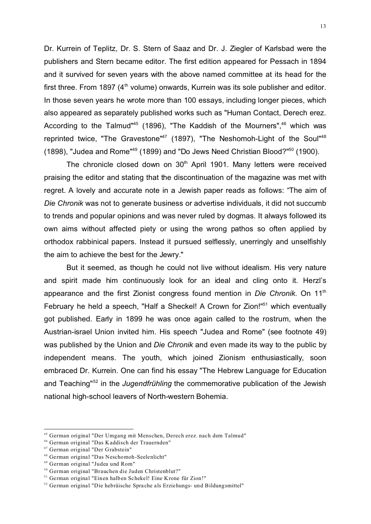Dr. Kurrein of Teplitz, Dr. S. Stern of Saaz and Dr. J. Ziegler of Karlsbad were the publishers and Stern became editor. The first edition appeared for Pessach in 1894 and it survived for seven years with the above named committee at its head for the first three. From 1897 ( $4<sup>th</sup>$  volume) onwards, Kurrein was its sole publisher and editor. In those seven years he wrote more than 100 essays, including longer pieces, which also appeared as separately published works such as "Human Contact, Derech erez. According to the Talmud<sup>445</sup> (1896), "The Kaddish of the Mourners",  $46$  which was reprinted twice, "The Gravestone"<sup>47</sup> (1897), "The Neshomoh-Light of the Soul"<sup>48</sup> (1898), "Judea and Rome"<sup>49</sup> (1899) and "Do Jews Need Christian Blood?"<sup>50</sup> (1900).

The chronicle closed down on 30<sup>th</sup> April 1901. Many letters were received praising the editor and stating that the discontinuation of the magazine was met with regret. A lovely and accurate note in a Jewish paper reads as follows: "The aim of *Die Chronik* was not to generate business or advertise individuals, it did not succumb to trends and popular opinions and was never ruled by dogmas. It always followed its own aims without affected piety or using the wrong pathos so often applied by orthodox rabbinical papers. Instead it pursued selflessly, unerringly and unselfishly the aim to achieve the best for the Jewry."

But it seemed, as though he could not live without idealism. His very nature and spirit made him continuously look for an ideal and cling onto it. Herzl's appearance and the first Zionist congress found mention in *Die Chronik*. On 11th February he held a speech, "Half a Sheckel! A Crown for Zion!"<sup>51</sup> which eventually got published. Early in 1899 he was once again called to the rostrum, when the Austrian-israel Union invited him. His speech "Judea and Rome" (see footnote 49) was published by the Union and *Die Chronik* and even made its way to the public by independent means. The youth, which joined Zionism enthusiastically, soon embraced Dr. Kurrein. One can find his essay "The Hebrew Language for Education and Teaching"<sup>52</sup> in the *Jugendfrühling* the commemorative publication of the Jewish national high-school leavers of North-western Bohemia.

<sup>45</sup> German original "Der Umgang mit Menschen, Derech erez. nach dem Talmud"

<sup>46</sup> German original "Das Kaddisch der Trauernden"

<sup>47</sup> German original "Der Grabstein"

<sup>48</sup> German original "Das Neschomoh-Seelenlicht"

<sup>49</sup> German original "Judea und Rom"

<sup>50</sup> German original "Brauchen die Juden Christenblut?"

<sup>51</sup> German original "Einen halben Schekel! Eine Krone für Zion!"

<sup>52</sup> German original "Die hebräische Sprache als Erziehungs- und Bildungsmittel"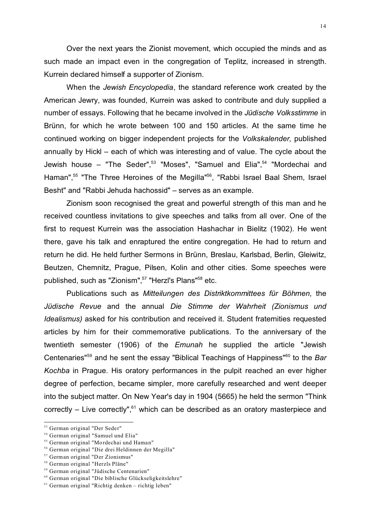Over the next years the Zionist movement, which occupied the minds and as such made an impact even in the congregation of Teplitz, increased in strength. Kurrein declared himself a supporter of Zionism.

When the *Jewish Encyclopedia*, the standard reference work created by the American Jewry, was founded, Kurrein was asked to contribute and duly supplied a number of essays. Following that he became involved in the *Jüdische Volksstimme* in Brünn, for which he wrote between 100 and 150 articles. At the same time he continued working on bigger independent projects for the *Volkskalender*, published annually by Hickl – each of which was interesting and of value. The cycle about the Jewish house – "The Seder", $53$  "Moses", "Samuel and Elia", $54$  "Mordechai and Haman",<sup>55</sup> "The Three Heroines of the Megilla"<sup>56</sup>, "Rabbi Israel Baal Shem, Israel Besht" and "Rabbi Jehuda hachossid" – serves as an example.

Zionism soon recognised the great and powerful strength of this man and he received countless invitations to give speeches and talks from all over. One of the first to request Kurrein was the association Hashachar in Bielitz (1902). He went there, gave his talk and enraptured the entire congregation. He had to return and return he did. He held further Sermons in Brünn, Breslau, Karlsbad, Berlin, Gleiwitz, Beutzen, Chemnitz, Prague, Pilsen, Kolin and other cities. Some speeches were published, such as "Zionism",<sup>57</sup> "Herzl's Plans"<sup>58</sup> etc.

Publications such as *Mitteilungen des Distriktkommittees für Böhmen*, the *Jüdische Revue* and the annual *Die Stimme der Wahrheit (Zionismus und Idealismus)* asked for his contribution and received it. Student fraternities requested articles by him for their commemorative publications. To the anniversary of the twentieth semester (1906) of the *Emunah* he supplied the article "Jewish Centenaries"<sup>59</sup> and he sent the essay "Biblical Teachings of Happiness"<sup>60</sup> to the *Bar Kochba* in Prague. His oratory performances in the pulpit reached an ever higher degree of perfection, became simpler, more carefully researched and went deeper into the subject matter. On New Year's day in 1904 (5665) he held the sermon "Think correctly – Live correctly", $61$  which can be described as an oratory masterpiece and

<sup>53</sup> German original "Der Seder"

<sup>54</sup> German original "Samuel und Elia"

<sup>55</sup> German original "Mordechai und Haman"

<sup>56</sup> German original "Die drei Heldinnen der Megilla"

<sup>57</sup> German original "Der Zionismus"

<sup>58</sup> German original "Herzls Pläne"

<sup>59</sup> German original "Jüdische Centenarien"

<sup>60</sup> German original "Die biblische Glückseligkeitslehre"

 $61$  German original "Richtig denken – richtig leben"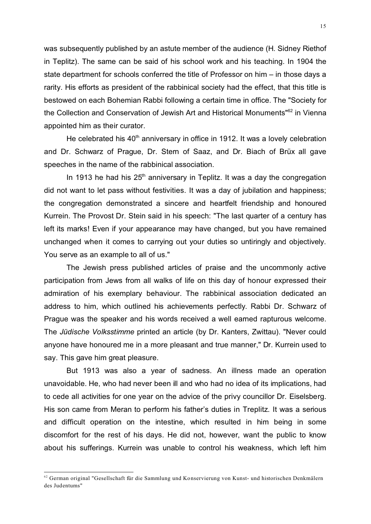was subsequently published by an astute member of the audience (H. Sidney Riethof in Teplitz). The same can be said of his school work and his teaching. In 1904 the state department for schools conferred the title of Professor on him – in those days a rarity. His efforts as president of the rabbinical society had the effect, that this title is bestowed on each Bohemian Rabbi following a certain time in office. The "Society for the Collection and Conservation of Jewish Art and Historical Monuments"<sup>62</sup> in Vienna appointed him as their curator.

He celebrated his  $40<sup>th</sup>$  anniversary in office in 1912. It was a lovely celebration and Dr. Schwarz of Prague, Dr. Stern of Saaz, and Dr. Biach of Brüx all gave speeches in the name of the rabbinical association.

In 1913 he had his  $25<sup>th</sup>$  anniversary in Teplitz. It was a day the congregation did not want to let pass without festivities. It was a day of jubilation and happiness; the congregation demonstrated a sincere and heartfelt friendship and honoured Kurrein. The Provost Dr. Stein said in his speech: "The last quarter of a century has left its marks! Even if your appearance may have changed, but you have remained unchanged when it comes to carrying out your duties so untiringly and objectively. You serve as an example to all of us."

The Jewish press published articles of praise and the uncommonly active participation from Jews from all walks of life on this day of honour expressed their admiration of his exemplary behaviour. The rabbinical association dedicated an address to him, which outlined his achievements perfectly. Rabbi Dr. Schwarz of Prague was the speaker and his words received a well earned rapturous welcome. The *Jüdische Volksstimme* printed an article (by Dr. Kanters, Zwittau). "Never could anyone have honoured me in a more pleasant and true manner," Dr. Kurrein used to say. This gave him great pleasure.

But 1913 was also a year of sadness. An illness made an operation unavoidable. He, who had never been ill and who had no idea of its implications, had to cede all activities for one year on the advice of the privy councillor Dr. Eiselsberg. His son came from Meran to perform his father's duties in Treplitz. It was a serious and difficult operation on the intestine, which resulted in him being in some discomfort for the rest of his days. He did not, however, want the public to know about his sufferings. Kurrein was unable to control his weakness, which left him

<sup>&</sup>lt;sup>62</sup> German original "Gesellschaft für die Sammlung und Konservierung von Kunst- und historischen Denkmälern des Judentums"